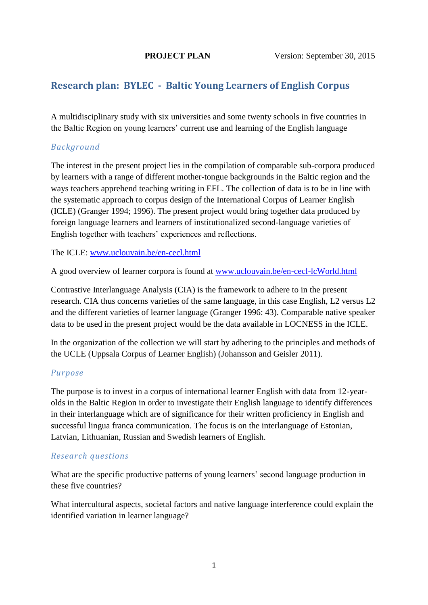# **Research plan: BYLEC - Baltic Young Learners of English Corpus**

A multidisciplinary study with six universities and some twenty schools in five countries in the Baltic Region on young learners' current use and learning of the English language

# *Background*

The interest in the present project lies in the compilation of comparable sub-corpora produced by learners with a range of different mother-tongue backgrounds in the Baltic region and the ways teachers apprehend teaching writing in EFL. The collection of data is to be in line with the systematic approach to corpus design of the International Corpus of Learner English (ICLE) (Granger 1994; 1996). The present project would bring together data produced by foreign language learners and learners of institutionalized second-language varieties of English together with teachers' experiences and reflections.

The ICLE: [www.uclouvain.be/en-cecl.html](http://www.uclouvain.be/en-cecl.html)

A good overview of learner corpora is found at [www.uclouvain.be/en-cecl-lcWorld.html](http://www.uclouvain.be/en-cecl-lcWorld.html)

Contrastive Interlanguage Analysis (CIA) is the framework to adhere to in the present research. CIA thus concerns varieties of the same language, in this case English, L2 versus L2 and the different varieties of learner language (Granger 1996: 43). Comparable native speaker data to be used in the present project would be the data available in LOCNESS in the ICLE.

In the organization of the collection we will start by adhering to the principles and methods of the UCLE (Uppsala Corpus of Learner English) (Johansson and Geisler 2011).

# *Purpose*

The purpose is to invest in a corpus of international learner English with data from 12-yearolds in the Baltic Region in order to investigate their English language to identify differences in their interlanguage which are of significance for their written proficiency in English and successful lingua franca communication. The focus is on the interlanguage of Estonian, Latvian, Lithuanian, Russian and Swedish learners of English.

# *Research questions*

What are the specific productive patterns of young learners' second language production in these five countries?

What intercultural aspects, societal factors and native language interference could explain the identified variation in learner language?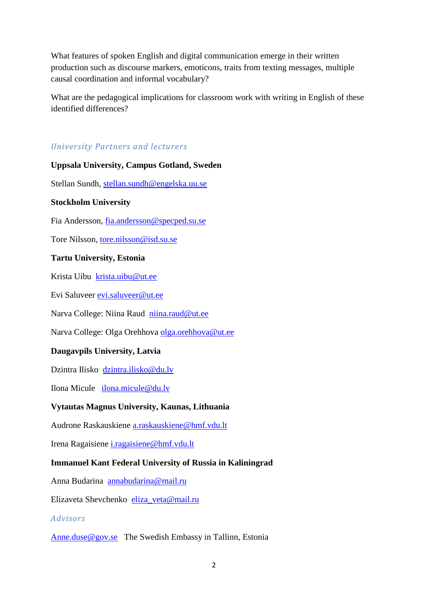What features of spoken English and digital communication emerge in their written production such as discourse markers, emoticons, traits from texting messages, multiple causal coordination and informal vocabulary?

What are the pedagogical implications for classroom work with writing in English of these identified differences?

# *University Partners and lecturers*

**Uppsala University, Campus Gotland, Sweden** Stellan Sundh, [stellan.sundh@engelska.uu.se](mailto:stellan.sundh@engelska.uu.se) **Stockholm University** Fia Andersson, [fia.andersson@specped.su.se](mailto:fia.andersson@specped.su.se) Tore Nilsson, [tore.nilsson@isd.su.se](mailto:tore.nilsson@isd.su.se) **Tartu University, Estonia** Krista Uibu [krista.uibu@ut.ee](mailto:krista.uibu@ut.ee) Evi Saluveer [evi.saluveer@ut.ee](mailto:evi.saluveer@ut.ee) Narva College: Niina Raud [niina.raud@ut.ee](mailto:niina.raud@ut.ee) Narva College: Olga Orehhova [olga.orehhova@ut.ee](mailto:olga.orehhova@ut.ee) **Daugavpils University, Latvia** Dzintra Ilisko [dzintra.ilisko@du.lv](mailto:dzintra.ilisko@du.lv) Ilona Micule [ilona.micule@du.lv](mailto:ilona.micule@du.lv) **Vytautas Magnus University, Kaunas, Lithuania** Audrone Raskauskiene [a.raskauskiene@hmf.vdu.lt](mailto:a.raskauskiene@hmf.vdu.lt) Irena Ragaisiene [i.ragaisiene@hmf.vdu.lt](mailto:i.ragaisiene@hmf.vdu.lt) **Immanuel Kant Federal University of Russia in Kaliningrad** Anna Budarina [annabudarina@mail.ru](mailto:annabudarina@mail.ru) Elizaveta Shevchenko [eliza\\_veta@mail.ru](mailto:eliza_veta@mail.ru) *Advisors*

[Anne.duse@gov.se](mailto:Anne.duse@gov.se) The Swedish Embassy in Tallinn, Estonia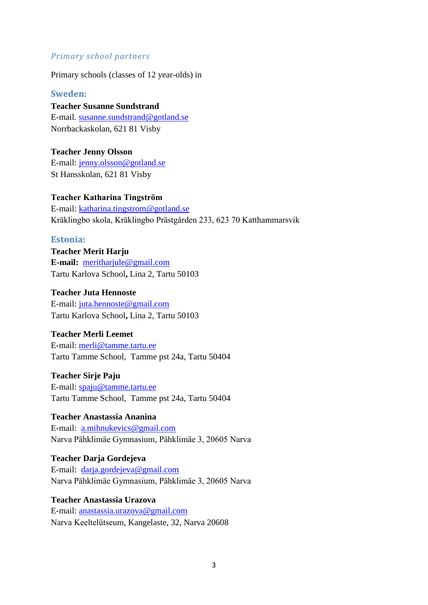#### *Primary school partners*

Primary schools (classes of 12 year-olds) in

#### **Sweden:**

# **Teacher Susanne Sundstrand**

E-mail. [susanne.sundstrand@gotland.se](mailto:susanne.sundstrand@gotland.se) Norrbackaskolan, 621 81 Visby

## **Teacher Jenny Olsson**

E-mail: [jenny.olsson@gotland.se](mailto:jenny.olsson@gotland.se) St Hansskolan, 621 81 Visby

## **Teacher Katharina Tingström**

E-mail: [katharina.tingstrom@gotland.se](mailto:katharina.tingstrom@gotland.se) Kräklingbo skola, Kräklingbo Prästgården 233, 623 70 Katthammarsvik

## **Estonia:**

**Teacher Merit Harju E-mail:** [meritharjule@gmail.com](mailto:meritharjule@gmail.com) Tartu Karlova School**,** Lina 2, Tartu 50103

#### **Teacher Juta Hennoste**

E-mail: [juta.hennoste@gmail.com](mailto:juta.hennoste@gmail.com) Tartu Karlova School**,** Lina 2, Tartu 50103

## **Teacher Merli Leemet**

E-mail: [merli@tamme.tartu.ee](mailto:merli@tamme.tartu.ee) Tartu Tamme School, Tamme pst 24a, Tartu 50404

#### **Teacher Sirje Paju**

E-mail: [spaju@tamme.tartu.ee](mailto:spaju@tamme.tartu.ee)  Tartu Tamme School, Tamme pst 24a, Tartu 50404

# **Teacher Anastassia Ananina**

E-mail: [a.mihnukevics@gmail.com](mailto:a.mihnukevics@gmail.com) Narva Pähklimäe Gymnasium, Pähklimäe 3, 20605 Narva

# **Teacher Darja Gordejeva**

E-mail: [darja.gordejeva@gmail.com](mailto:darja.gordejeva@gmail.com)  Narva Pähklimäe Gymnasium, Pähklimäe 3, 20605 Narva

# **Teacher Anastassia Urazova**

E-mail: [anastassia.urazova@gmail.com](mailto:anastassia.urazova@gmail.com) Narva Keeltelütseum, Kangelaste, 32, Narva 20608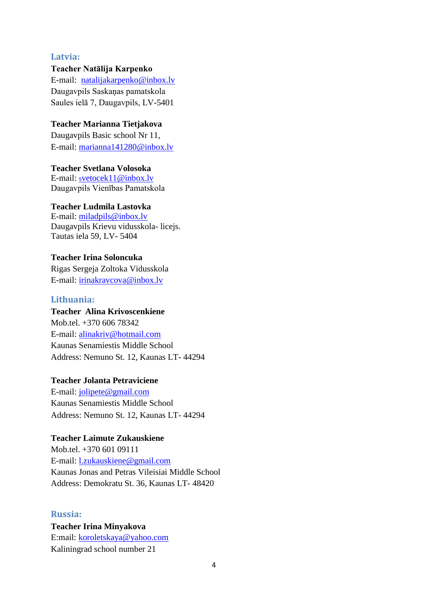#### **Latvia:**

#### **Teacher Natālija Karpenko**

E-mail: [natalijakarpenko@inbox.lv](http://vecaispasts.du.lv/src/compose.php?send_to=natalijakarpenko%40inbox.lv) Daugavpils Saskaņas pamatskola Saules ielā 7, Daugavpils, LV-5401

#### **Teacher Marianna Tietjakova**

Daugavpils Basic school Nr 11, E-mail: [marianna141280@inbox.lv](mailto:marianna141280@inbox.lv)

## **Teacher Svetlana Volosoka**

E-mail: s[vetocek11@inbox.lv](http://vecaispasts.du.lv/src/compose.php?send_to=svetocek11%40inbox.lv) Daugavpils Vienības Pamatskola

#### **Teacher Ludmila Lastovka**

E-mail: [miladpils@inbox.lv](http://vecaispasts.du.lv/src/compose.php?send_to=miladpils%40inbox.lv) Daugavpils Krievu vidusskola- licejs. Tautas iela 59, LV- 5404

## **Teacher Irina Soloncuka**

Rigas Sergeja Zoltoka Vidusskola E-mail: [irinakravcova@inbox.lv](mailto:irinakravcova@inbox.lv)

#### **Lithuania:**

# **Teacher Alina Krivoscenkiene**

Mob.tel. +370 606 78342 E-mail: [alinakriv@hotmail.com](mailto:alinakriv@hotmail.com) Kaunas Senamiestis Middle School Address: Nemuno St. 12, Kaunas LT- 44294

#### **Teacher Jolanta Petraviciene**

E-mail: [jolipete@gmail.com](mailto:jolipete@gmail.com) Kaunas Senamiestis Middle School Address: Nemuno St. 12, Kaunas LT- 44294

#### **Teacher Laimute Zukauskiene**

Mob.tel. +370 601 09111 E-mail: [l.zukauskiene@gmail.com](mailto:l.zukauskiene@gmail.com) Kaunas Jonas and Petras Vileisiai Middle School Address: Demokratu St. 36, Kaunas LT- 48420

#### **Russia:**

**Teacher Irina Minyakova** E:mail: [koroletskaya@yahoo.com](mailto:koroletskaya@yahoo.com) Kaliningrad school number 21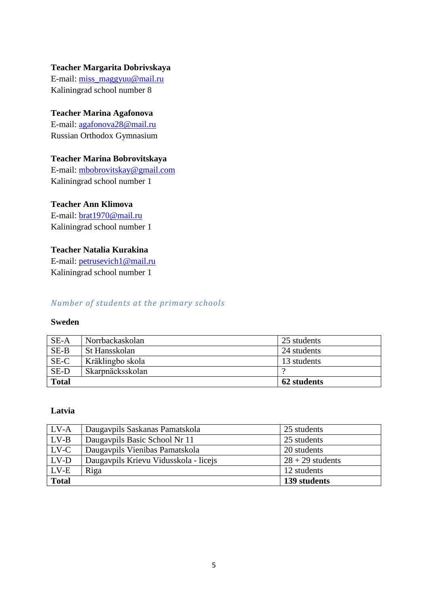#### **Teacher Margarita Dobrivskaya**

E-mail: [miss\\_maggyuu@mail.ru](mailto:miss_maggyuu@mail.ru) Kaliningrad school number 8

# **Teacher Marina Agafonova**

E-mail: [agafonova28@mail.ru](mailto:agafonova28@mail.ru) Russian Orthodox Gymnasium

## **Teacher Marina Bobrovitskaya**

E-mail: [mbobrovitskay@gmail.com](mailto:mbobrovitskay@gmail.com) Kaliningrad school number 1

## **Teacher Ann Klimova**

E-mail: [brat1970@mail.ru](mailto:brat1970@mail.ru) Kaliningrad school number 1

# **Teacher Natalia Kurakina**

E-mail: [petrusevich1@mail.ru](mailto:petrusevich1@mail.ru) Kaliningrad school number 1

## *Number of students at the primary schools*

#### **Sweden**

| $SE-A$       | Norrbackaskolan  | 25 students |
|--------------|------------------|-------------|
| $SE-B$       | St Hansskolan    | 24 students |
| SE-C         | Kräklingbo skola | 13 students |
| SE-D         | Skarpnäcksskolan |             |
| <b>Total</b> |                  | 62 students |

#### **Latvia**

| 20 students                 |
|-----------------------------|
| $28 + 29$ students          |
| 12 students<br>139 students |
|                             |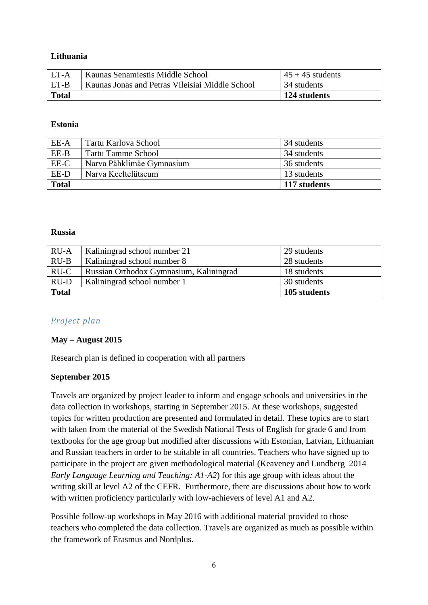#### **Lithuania**

| LT-A         | Kaunas Senamiestis Middle School                | $45 + 45$ students |
|--------------|-------------------------------------------------|--------------------|
| LT-B         | Kaunas Jonas and Petras Vileisiai Middle School | 34 students        |
| <b>Total</b> |                                                 | 124 students       |

#### **Estonia**

| EE-A         | Tartu Karlova School      | 34 students  |
|--------------|---------------------------|--------------|
| EE-B         | <b>Tartu Tamme School</b> | 34 students  |
| EE-C         | Narva Pähklimäe Gymnasium | 36 students  |
| EE-D         | Narva Keeltelütseum       | 13 students  |
| <b>Total</b> |                           | 117 students |

#### **Russia**

| $RU-A$       | Kaliningrad school number 21            | 29 students  |
|--------------|-----------------------------------------|--------------|
| $RU-B$       | Kaliningrad school number 8             | 28 students  |
| RU-C         | Russian Orthodox Gymnasium, Kaliningrad | 18 students  |
| $RU-D$       | Kaliningrad school number 1             | 30 students  |
| <b>Total</b> |                                         | 105 students |

## *Project plan*

## **May – August 2015**

Research plan is defined in cooperation with all partners

## **September 2015**

Travels are organized by project leader to inform and engage schools and universities in the data collection in workshops, starting in September 2015. At these workshops, suggested topics for written production are presented and formulated in detail. These topics are to start with taken from the material of the Swedish National Tests of English for grade 6 and from textbooks for the age group but modified after discussions with Estonian, Latvian, Lithuanian and Russian teachers in order to be suitable in all countries. Teachers who have signed up to participate in the project are given methodological material (Keaveney and Lundberg 2014 *Early Language Learning and Teaching: A1-A2*) for this age group with ideas about the writing skill at level A2 of the CEFR. Furthermore, there are discussions about how to work with written proficiency particularly with low-achievers of level A1 and A2.

Possible follow-up workshops in May 2016 with additional material provided to those teachers who completed the data collection. Travels are organized as much as possible within the framework of Erasmus and Nordplus.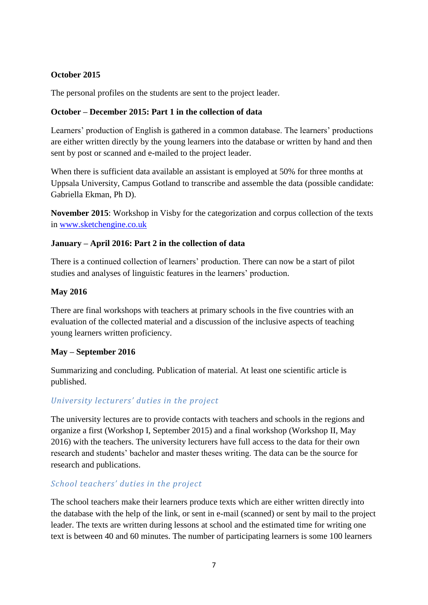## **October 2015**

The personal profiles on the students are sent to the project leader.

## **October – December 2015: Part 1 in the collection of data**

Learners' production of English is gathered in a common database. The learners' productions are either written directly by the young learners into the database or written by hand and then sent by post or scanned and e-mailed to the project leader.

When there is sufficient data available an assistant is employed at 50% for three months at Uppsala University, Campus Gotland to transcribe and assemble the data (possible candidate: Gabriella Ekman, Ph D).

**November 2015**: Workshop in Visby for the categorization and corpus collection of the texts in [www.sketchengine.co.uk](http://www.sketchengine.co.uk/) 

## **January – April 2016: Part 2 in the collection of data**

There is a continued collection of learners' production. There can now be a start of pilot studies and analyses of linguistic features in the learners' production.

## **May 2016**

There are final workshops with teachers at primary schools in the five countries with an evaluation of the collected material and a discussion of the inclusive aspects of teaching young learners written proficiency.

## **May – September 2016**

Summarizing and concluding. Publication of material. At least one scientific article is published.

# *University lecturers' duties in the project*

The university lectures are to provide contacts with teachers and schools in the regions and organize a first (Workshop I, September 2015) and a final workshop (Workshop II, May 2016) with the teachers. The university lecturers have full access to the data for their own research and students' bachelor and master theses writing. The data can be the source for research and publications.

# *School teachers' duties in the project*

The school teachers make their learners produce texts which are either written directly into the database with the help of the link, or sent in e-mail (scanned) or sent by mail to the project leader. The texts are written during lessons at school and the estimated time for writing one text is between 40 and 60 minutes. The number of participating learners is some 100 learners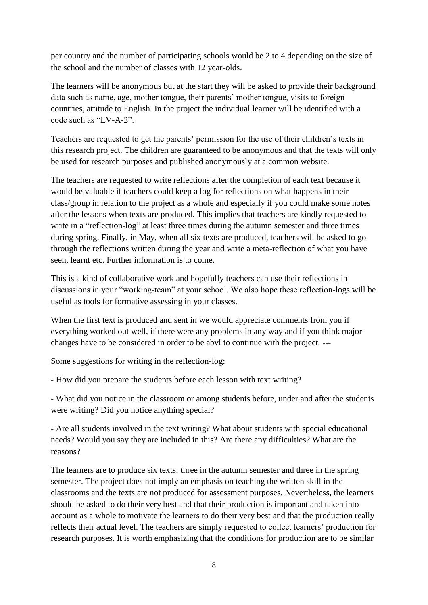per country and the number of participating schools would be 2 to 4 depending on the size of the school and the number of classes with 12 year-olds.

The learners will be anonymous but at the start they will be asked to provide their background data such as name, age, mother tongue, their parents' mother tongue, visits to foreign countries, attitude to English. In the project the individual learner will be identified with a code such as "LV-A-2".

Teachers are requested to get the parents' permission for the use of their children's texts in this research project. The children are guaranteed to be anonymous and that the texts will only be used for research purposes and published anonymously at a common website.

The teachers are requested to write reflections after the completion of each text because it would be valuable if teachers could keep a log for reflections on what happens in their class/group in relation to the project as a whole and especially if you could make some notes after the lessons when texts are produced. This implies that teachers are kindly requested to write in a "reflection-log" at least three times during the autumn semester and three times during spring. Finally, in May, when all six texts are produced, teachers will be asked to go through the reflections written during the year and write a meta-reflection of what you have seen, learnt etc. Further information is to come.

This is a kind of collaborative work and hopefully teachers can use their reflections in discussions in your "working-team" at your school. We also hope these reflection-logs will be useful as tools for formative assessing in your classes.

When the first text is produced and sent in we would appreciate comments from you if everything worked out well, if there were any problems in any way and if you think major changes have to be considered in order to be abvl to continue with the project. ---

Some suggestions for writing in the reflection-log:

- How did you prepare the students before each lesson with text writing?

- What did you notice in the classroom or among students before, under and after the students were writing? Did you notice anything special?

- Are all students involved in the text writing? What about students with special educational needs? Would you say they are included in this? Are there any difficulties? What are the reasons?

The learners are to produce six texts; three in the autumn semester and three in the spring semester. The project does not imply an emphasis on teaching the written skill in the classrooms and the texts are not produced for assessment purposes. Nevertheless, the learners should be asked to do their very best and that their production is important and taken into account as a whole to motivate the learners to do their very best and that the production really reflects their actual level. The teachers are simply requested to collect learners' production for research purposes. It is worth emphasizing that the conditions for production are to be similar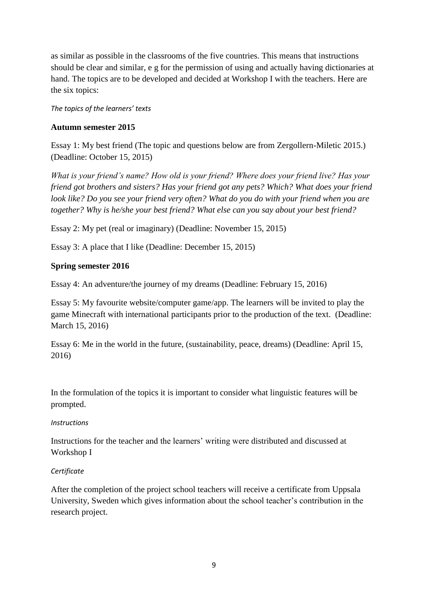as similar as possible in the classrooms of the five countries. This means that instructions should be clear and similar, e g for the permission of using and actually having dictionaries at hand. The topics are to be developed and decided at Workshop I with the teachers. Here are the six topics:

*The topics of the learners' texts*

## **Autumn semester 2015**

Essay 1: My best friend (The topic and questions below are from Zergollern-Miletic 2015.) (Deadline: October 15, 2015)

*What is your friend's name? How old is your friend? Where does your friend live? Has your friend got brothers and sisters? Has your friend got any pets? Which? What does your friend look like? Do you see your friend very often? What do you do with your friend when you are together? Why is he/she your best friend? What else can you say about your best friend?*

Essay 2: My pet (real or imaginary) (Deadline: November 15, 2015)

Essay 3: A place that I like (Deadline: December 15, 2015)

## **Spring semester 2016**

Essay 4: An adventure/the journey of my dreams (Deadline: February 15, 2016)

Essay 5: My favourite website/computer game/app. The learners will be invited to play the game Minecraft with international participants prior to the production of the text. (Deadline: March 15, 2016)

Essay 6: Me in the world in the future, (sustainability, peace, dreams) (Deadline: April 15, 2016)

In the formulation of the topics it is important to consider what linguistic features will be prompted.

## *Instructions*

Instructions for the teacher and the learners' writing were distributed and discussed at Workshop I

## *Certificate*

After the completion of the project school teachers will receive a certificate from Uppsala University, Sweden which gives information about the school teacher's contribution in the research project.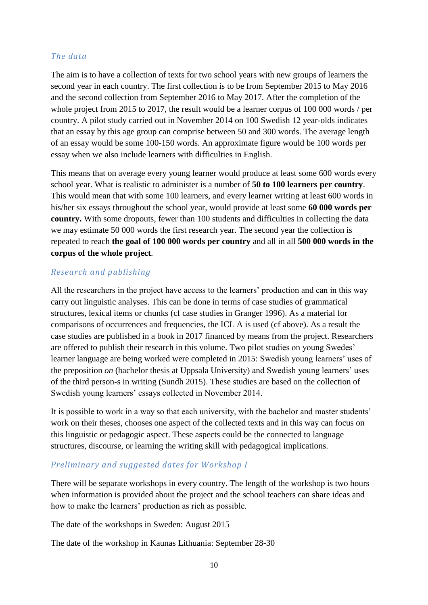## *The data*

The aim is to have a collection of texts for two school years with new groups of learners the second year in each country. The first collection is to be from September 2015 to May 2016 and the second collection from September 2016 to May 2017. After the completion of the whole project from 2015 to 2017, the result would be a learner corpus of 100 000 words / per country. A pilot study carried out in November 2014 on 100 Swedish 12 year-olds indicates that an essay by this age group can comprise between 50 and 300 words. The average length of an essay would be some 100-150 words. An approximate figure would be 100 words per essay when we also include learners with difficulties in English.

This means that on average every young learner would produce at least some 600 words every school year. What is realistic to administer is a number of **50 to 100 learners per country**. This would mean that with some 100 learners, and every learner writing at least 600 words in his/her six essays throughout the school year, would provide at least some **60 000 words per country.** With some dropouts, fewer than 100 students and difficulties in collecting the data we may estimate 50 000 words the first research year. The second year the collection is repeated to reach **the goal of 100 000 words per country** and all in all **500 000 words in the corpus of the whole project**.

# *Research and publishing*

All the researchers in the project have access to the learners' production and can in this way carry out linguistic analyses. This can be done in terms of case studies of grammatical structures, lexical items or chunks (cf case studies in Granger 1996). As a material for comparisons of occurrences and frequencies, the ICL A is used (cf above). As a result the case studies are published in a book in 2017 financed by means from the project. Researchers are offered to publish their research in this volume. Two pilot studies on young Swedes' learner language are being worked were completed in 2015: Swedish young learners' uses of the preposition *on* (bachelor thesis at Uppsala University) and Swedish young learners' uses of the third person-s in writing (Sundh 2015). These studies are based on the collection of Swedish young learners' essays collected in November 2014.

It is possible to work in a way so that each university, with the bachelor and master students' work on their theses, chooses one aspect of the collected texts and in this way can focus on this linguistic or pedagogic aspect. These aspects could be the connected to language structures, discourse, or learning the writing skill with pedagogical implications.

# *Preliminary and suggested dates for Workshop I*

There will be separate workshops in every country. The length of the workshop is two hours when information is provided about the project and the school teachers can share ideas and how to make the learners' production as rich as possible.

The date of the workshops in Sweden: August 2015

The date of the workshop in Kaunas Lithuania: September 28-30